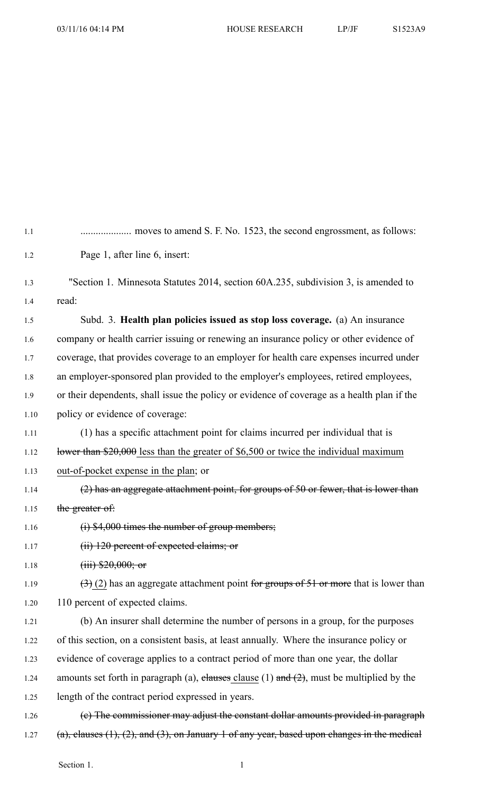| 1.1  |                                                                                                         |
|------|---------------------------------------------------------------------------------------------------------|
| 1.2  | Page 1, after line 6, insert:                                                                           |
| 1.3  | "Section 1. Minnesota Statutes 2014, section 60A.235, subdivision 3, is amended to                      |
| 1.4  | read:                                                                                                   |
| 1.5  | Subd. 3. Health plan policies issued as stop loss coverage. (a) An insurance                            |
| 1.6  | company or health carrier issuing or renewing an insurance policy or other evidence of                  |
| 1.7  | coverage, that provides coverage to an employer for health care expenses incurred under                 |
| 1.8  | an employer-sponsored plan provided to the employer's employees, retired employees,                     |
| 1.9  | or their dependents, shall issue the policy or evidence of coverage as a health plan if the             |
| 1.10 | policy or evidence of coverage:                                                                         |
| 1.11 | (1) has a specific attachment point for claims incurred per individual that is                          |
| 1.12 | Hower than $$20,000$ less than the greater of \$6,500 or twice the individual maximum                   |
| 1.13 | out-of-pocket expense in the plan; or                                                                   |
| 1.14 | $(2)$ has an aggregate attachment point, for groups of 50 or fewer, that is lower than                  |
| 1.15 | the greater of:                                                                                         |
| 1.16 | $(i)$ \$4,000 times the number of group members;                                                        |
| 1.17 | (ii) 120 percent of expected claims; or                                                                 |
| 1.18 | $(iii)$ \$20,000; or                                                                                    |
| 1.19 | $(3)$ (2) has an aggregate attachment point for groups of 51 or more that is lower than                 |
| 1.20 | 110 percent of expected claims.                                                                         |
| 1.21 | (b) An insurer shall determine the number of persons in a group, for the purposes                       |
| 1.22 | of this section, on a consistent basis, at least annually. Where the insurance policy or                |
| 1.23 | evidence of coverage applies to a contract period of more than one year, the dollar                     |
| 1.24 | amounts set forth in paragraph (a), elauses clause (1) and $(2)$ , must be multiplied by the            |
| 1.25 | length of the contract period expressed in years.                                                       |
| 1.26 | (e) The commissioner may adjust the constant dollar amounts provided in paragraph                       |
| 1.27 | $(a)$ , clauses $(1)$ , $(2)$ , and $(3)$ , on January 1 of any year, based upon changes in the medical |